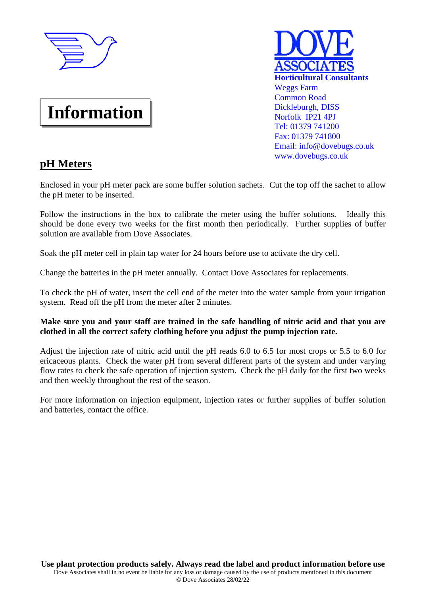

# **Information**

# **Horticultural Consultants**  Weggs Farm Common Road Dickleburgh, DISS Norfolk IP21 4PJ Tel: 01379 741200 Fax: 01379 741800 Email: info@dovebugs.co.uk www.dovebugs.co.uk

# **pH Meters**

Enclosed in your pH meter pack are some buffer solution sachets. Cut the top off the sachet to allow the pH meter to be inserted.

Follow the instructions in the box to calibrate the meter using the buffer solutions. Ideally this should be done every two weeks for the first month then periodically. Further supplies of buffer solution are available from Dove Associates.

Soak the pH meter cell in plain tap water for 24 hours before use to activate the dry cell.

Change the batteries in the pH meter annually. Contact Dove Associates for replacements.

To check the pH of water, insert the cell end of the meter into the water sample from your irrigation system. Read off the pH from the meter after 2 minutes.

## **Make sure you and your staff are trained in the safe handling of nitric acid and that you are clothed in all the correct safety clothing before you adjust the pump injection rate.**

Adjust the injection rate of nitric acid until the pH reads 6.0 to 6.5 for most crops or 5.5 to 6.0 for ericaceous plants. Check the water pH from several different parts of the system and under varying flow rates to check the safe operation of injection system. Check the pH daily for the first two weeks and then weekly throughout the rest of the season.

For more information on injection equipment, injection rates or further supplies of buffer solution and batteries, contact the office.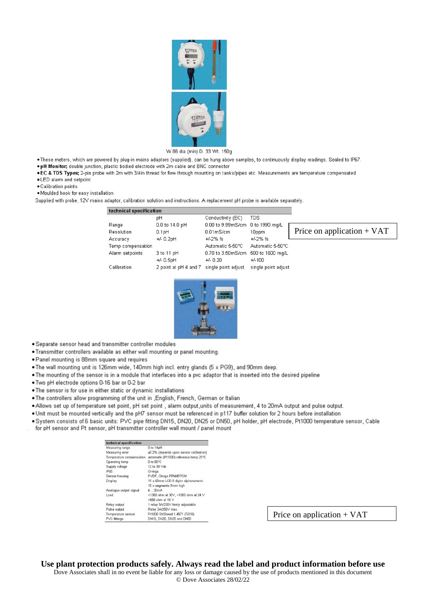

#### W.86 dia (min) D. 33 Wt. 150g

- . These meters, which are powered by plug-in mains adaptors (supplied), can be hung above samples, to continuously display readings. Sealed to IP67.
- . pH Monitor; double junction, plastic bodied electrode with 2m cable and BNC connector
- . EC & TDS Types; 2-pin probe with 2m with 3/4in thread for flow through mounting on tanks/pipes etc. Measurements are temperature compensated
- . LED alarm and setpoint
- · Calibration points
- . Moulded hook for easy installation

Supplied with probe, 12V mains adaptor, calibration solution and instructions. A replacement pH probe is available separately.

| technical specification |                       |                                    |                     |                              |
|-------------------------|-----------------------|------------------------------------|---------------------|------------------------------|
|                         | pH                    | Conductivity (EC)                  | <b>TDS</b>          |                              |
| Range                   | 0.0 to 14.0 pH        | 0.00 to 9.99mS/cm 0 to 1990 mg/L   |                     |                              |
| <b>Resolution</b>       | 0.1 <sub>pH</sub>     | $0.01m$ S/cm                       | 10ppm               | Price on application $+$ VAT |
| Accuracy                | $+/- 0.2pH$           | $+/-2\%$ fs                        | $+/-2\%$ fs         |                              |
| Temp compensation       |                       | Automatic 5-50°C                   | Automatic 5-50°C    |                              |
| Alarm setpoints         | 3 to 11 pH            | 0.70 to 3.50mS/cm 500 to 1600 mg/L |                     |                              |
|                         | $+/- 0.5pH$           | $+/- 0.20$                         | $+/-100$            |                              |
| Calibration             | 2 point at pH 4 and 7 | single point adjust                | single point adjust |                              |



- · Separate sensor head and transmitter controller modules
- . Transmitter controllers available as either wall mounting or panel mounting.
- · Panel mounting is 88mm square and requires
- . The wall mounting unit is 126mm wide, 140mm high incl. entry glands (5 x PG9), and 90mm deep.
- . The mounting of the sensor is in a module that interfaces into a pvc adaptor that is inserted into the desired pipeline
- . Two pH electrode options 0-16 bar or 0-2 bar
- . The sensor is for use in either static or dynamic installations
- . The controllers allow programming of the unit in , English, French, German or Italian
- . Allows set up of temperature set point, pH set point, alarm output, units of measurement, 4 to 20mA output and pulse output.
- . Unit must be mounted vertically and the pH7 sensor must be referenced in p117 buffer solution for 2 hours before installation
- . System consists of 6 basic units: PVC pipe fitting DN15, DN20, DN25 or DN50, pH holder, pH electrode, Pt1000 temperature sensor, Cable
- for pH sensor and Pt sensor, pH transmitter controller wall mount / panel mount

| technical specification  |                                         |  |  |
|--------------------------|-----------------------------------------|--|--|
| Measuring range          | 0 to 14pH                               |  |  |
| Measuring error          | ±0.2% (depends upon sensor calibration) |  |  |
| Temperature compensation | automatic (Pt1000) reference temp 25°C  |  |  |
| Operating temp           | 0 to 60°C                               |  |  |
| Supply voltage           | 12 to 30 Vdc                            |  |  |
| <b>IP65</b>              | O-rings                                 |  |  |
| Sensor housing           | PVDF, Orings FRM/EPDM                   |  |  |
| Display                  | 15 x 60mm LCD 8 digits alphanumeric     |  |  |
|                          | 15 x segments 9mm high                  |  |  |
| Analogue output signal   | 4.20mA                                  |  |  |
| Load                     | <1300 ohm at 30V, <1000 ohm at 24 V     |  |  |
|                          | <550 ohm at 15 $\vee$                   |  |  |
| Relay output             | 1 relay 3A/22DV freely adjustable       |  |  |
| Pulse output             | Relay 3A/250V max.                      |  |  |
| Temperature sensor       | Pt1000 St/Steeel 1.4571 (Ti316)         |  |  |
| PVC fittings             | DN15, DN20, DN25 and DN50               |  |  |

Price on application  $+$  VAT